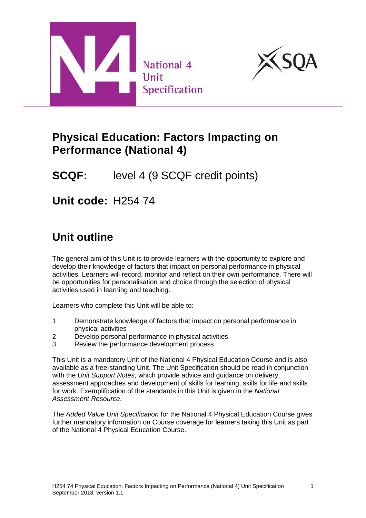



## **Physical Education: Factors Impacting on Performance (National 4)**

# **SCQF:** level 4 (9 SCQF credit points)

**Unit code:** H254 74

# **Unit outline**

The general aim of this Unit is to provide learners with the opportunity to explore and develop their knowledge of factors that impact on personal performance in physical activities. Learners will record, monitor and reflect on their own performance. There will be opportunities for personalisation and choice through the selection of physical activities used in learning and teaching.

Learners who complete this Unit will be able to:

- 1 Demonstrate knowledge of factors that impact on personal performance in physical activities
- 2 Develop personal performance in physical activities
- 3 Review the performance development process

This Unit is a mandatory Unit of the National 4 Physical Education Course and is also available as a free-standing Unit. The Unit Specification should be read in conjunction with the *Unit Support Notes*, which provide advice and guidance on delivery, assessment approaches and development of skills for learning, skills for life and skills for work. Exemplification of the standards in this Unit is given in the *National Assessment Resource*.

The *Added Value Unit Specification* for the National 4 Physical Education Course gives further mandatory information on Course coverage for learners taking this Unit as part of the National 4 Physical Education Course.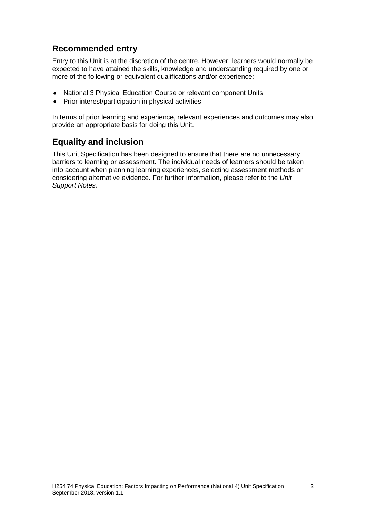### **Recommended entry**

Entry to this Unit is at the discretion of the centre. However, learners would normally be expected to have attained the skills, knowledge and understanding required by one or more of the following or equivalent qualifications and/or experience:

- ♦ National 3 Physical Education Course or relevant component Units
- Prior interest/participation in physical activities

In terms of prior learning and experience, relevant experiences and outcomes may also provide an appropriate basis for doing this Unit.

### **Equality and inclusion**

This Unit Specification has been designed to ensure that there are no unnecessary barriers to learning or assessment. The individual needs of learners should be taken into account when planning learning experiences, selecting assessment methods or considering alternative evidence. For further information, please refer to the *Unit Support Notes.*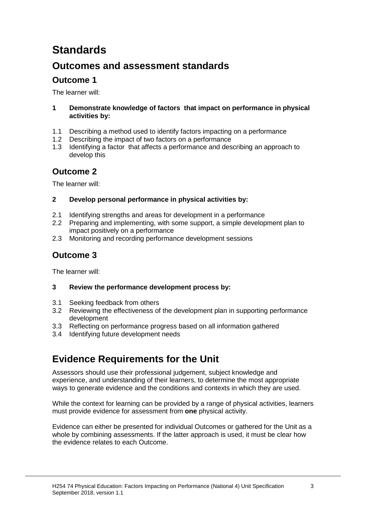# **Standards**

## **Outcomes and assessment standards**

### **Outcome 1**

The learner will:

- **1 Demonstrate knowledge of factors that impact on performance in physical activities by:**
- 1.1 Describing a method used to identify factors impacting on a performance
- 1.2 Describing the impact of two factors on a performance
- 1.3 Identifying a factor that affects a performance and describing an approach to develop this

### **Outcome 2**

The learner will:

#### **2 Develop personal performance in physical activities by:**

- 2.1 Identifying strengths and areas for development in a performance
- 2.2 Preparing and implementing, with some support, a simple development plan to impact positively on a performance
- 2.3 Monitoring and recording performance development sessions

### **Outcome 3**

The learner will:

### **3 Review the performance development process by:**

- 3.1 Seeking feedback from others<br>3.2 Reviewing the effectiveness of
- 3.2 Reviewing the effectiveness of the development plan in supporting performance development
- 3.3 Reflecting on performance progress based on all information gathered
- 3.4 Identifying future development needs

## **Evidence Requirements for the Unit**

Assessors should use their professional judgement, subject knowledge and experience, and understanding of their learners, to determine the most appropriate ways to generate evidence and the conditions and contexts in which they are used.

While the context for learning can be provided by a range of physical activities, learners must provide evidence for assessment from **one** physical activity.

Evidence can either be presented for individual Outcomes or gathered for the Unit as a whole by combining assessments. If the latter approach is used, it must be clear how the evidence relates to each Outcome.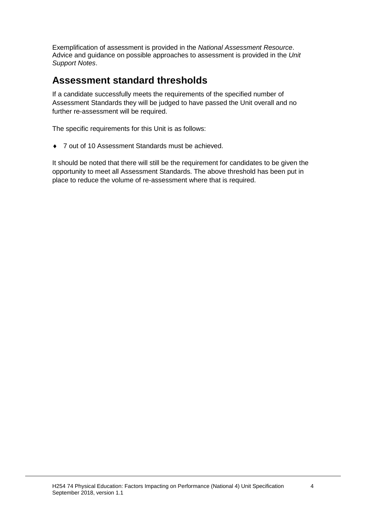Exemplification of assessment is provided in the *National Assessment Resource*. Advice and guidance on possible approaches to assessment is provided in the *Unit Support Notes*.

## **Assessment standard thresholds**

If a candidate successfully meets the requirements of the specified number of Assessment Standards they will be judged to have passed the Unit overall and no further re-assessment will be required.

The specific requirements for this Unit is as follows:

♦ 7 out of 10 Assessment Standards must be achieved.

It should be noted that there will still be the requirement for candidates to be given the opportunity to meet all Assessment Standards. The above threshold has been put in place to reduce the volume of re-assessment where that is required.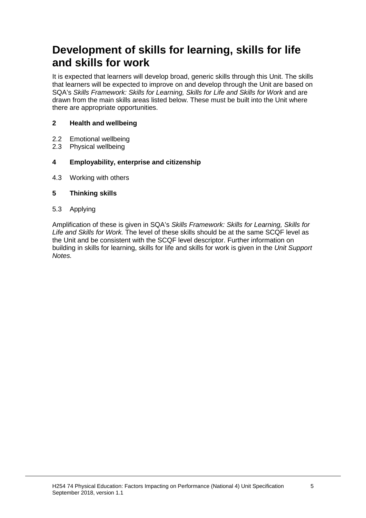# **Development of skills for learning, skills for life and skills for work**

It is expected that learners will develop broad, generic skills through this Unit. The skills that learners will be expected to improve on and develop through the Unit are based on SQA's *Skills Framework: Skills for Learning, Skills for Life and Skills for Work and are* drawn from the main skills areas listed below. These must be built into the Unit where there are appropriate opportunities.

#### **2 Health and wellbeing**

- 2.2 Emotional wellbeing<br>2.3 Physical wellbeing
- Physical wellbeing

#### **4 Employability, enterprise and citizenship**

4.3 Working with others

#### **5 Thinking skills**

5.3 Applying

Amplification of these is given in SQA's *Skills Framework: Skills for Learning, Skills for Life and Skills for Work.* The level of these skills should be at the same SCQF level as the Unit and be consistent with the SCQF level descriptor. Further information on building in skills for learning, skills for life and skills for work is given in the *Unit Support Notes.*